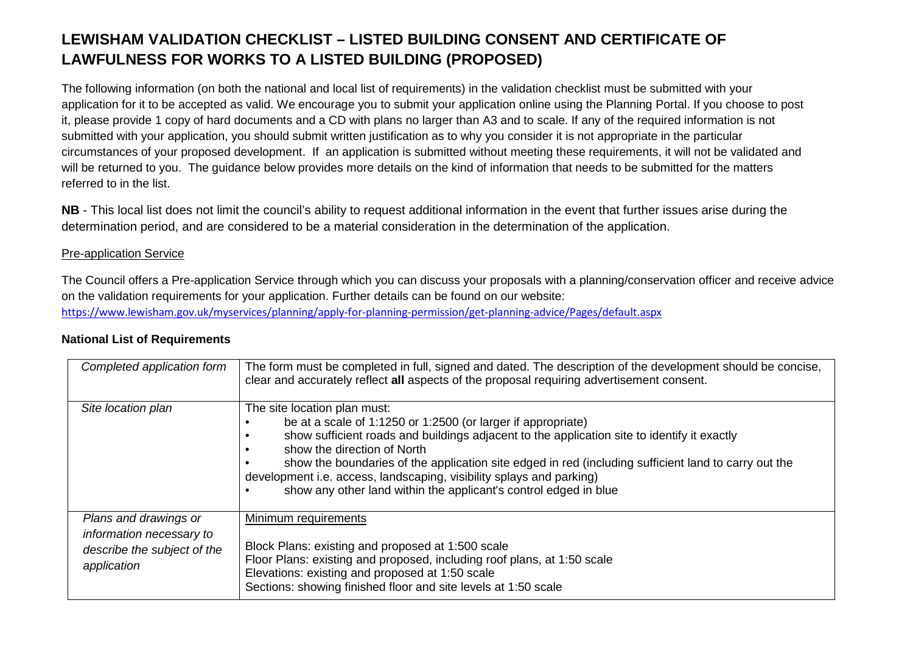## **LEWISHAM VALIDATION CHECKLIST – LISTED BUILDING CONSENT AND CERTIFICATE OF LAWFULNESS FOR WORKS TO A LISTED BUILDING (PROPOSED)**

The following information (on both the national and local list of requirements) in the validation checklist must be submitted with your application for it to be accepted as valid. We encourage you to submit your application online using the Planning Portal. If you choose to post it, please provide 1 copy of hard documents and a CD with plans no larger than A3 and to scale. If any of the required information is not submitted with your application, you should submit written justification as to why you consider it is not appropriate in the particular circumstances of your proposed development. If an application is submitted without meeting these requirements, it will not be validated and will be returned to you. The guidance below provides more details on the kind of information that needs to be submitted for the matters referred to in the list.

**NB** - This local list does not limit the council's ability to request additional information in the event that further issues arise during the determination period, and are considered to be a material consideration in the determination of the application.

## Pre-application Service

The Council offers a Pre-application Service through which you can discuss your proposals with a planning/conservation officer and receive advice on the validation requirements for your application. Further details can be found on our website: https://www.lewisham.gov.uk/myservices/planning/apply-for-planning-permission/get-planning-advice/Pages/default.aspx

| Completed application form                                                                      | The form must be completed in full, signed and dated. The description of the development should be concise,<br>clear and accurately reflect all aspects of the proposal requiring advertisement consent.                                                                                                                                                                                                                                                                       |
|-------------------------------------------------------------------------------------------------|--------------------------------------------------------------------------------------------------------------------------------------------------------------------------------------------------------------------------------------------------------------------------------------------------------------------------------------------------------------------------------------------------------------------------------------------------------------------------------|
| Site location plan                                                                              | The site location plan must:<br>be at a scale of 1:1250 or 1:2500 (or larger if appropriate)<br>show sufficient roads and buildings adjacent to the application site to identify it exactly<br>show the direction of North<br>show the boundaries of the application site edged in red (including sufficient land to carry out the<br>development i.e. access, landscaping, visibility splays and parking)<br>show any other land within the applicant's control edged in blue |
| Plans and drawings or<br>information necessary to<br>describe the subject of the<br>application | Minimum requirements<br>Block Plans: existing and proposed at 1:500 scale<br>Floor Plans: existing and proposed, including roof plans, at 1:50 scale<br>Elevations: existing and proposed at 1:50 scale<br>Sections: showing finished floor and site levels at 1:50 scale                                                                                                                                                                                                      |

## **National List of Requirements**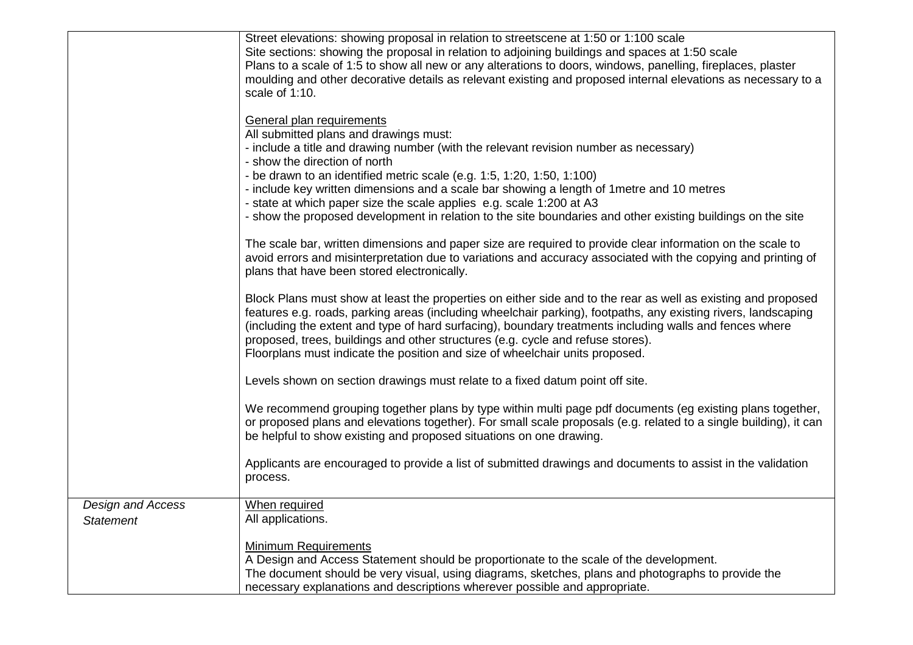|                                              | Street elevations: showing proposal in relation to streetscene at 1:50 or 1:100 scale<br>Site sections: showing the proposal in relation to adjoining buildings and spaces at 1:50 scale<br>Plans to a scale of 1:5 to show all new or any alterations to doors, windows, panelling, fireplaces, plaster<br>moulding and other decorative details as relevant existing and proposed internal elevations as necessary to a<br>scale of 1:10.<br>General plan requirements<br>All submitted plans and drawings must:<br>- include a title and drawing number (with the relevant revision number as necessary)<br>- show the direction of north<br>- be drawn to an identified metric scale (e.g. 1:5, 1:20, 1:50, 1:100)<br>- include key written dimensions and a scale bar showing a length of 1 metre and 10 metres<br>- state at which paper size the scale applies e.g. scale 1:200 at A3<br>- show the proposed development in relation to the site boundaries and other existing buildings on the site<br>The scale bar, written dimensions and paper size are required to provide clear information on the scale to<br>avoid errors and misinterpretation due to variations and accuracy associated with the copying and printing of<br>plans that have been stored electronically.<br>Block Plans must show at least the properties on either side and to the rear as well as existing and proposed<br>features e.g. roads, parking areas (including wheelchair parking), footpaths, any existing rivers, landscaping<br>(including the extent and type of hard surfacing), boundary treatments including walls and fences where<br>proposed, trees, buildings and other structures (e.g. cycle and refuse stores).<br>Floorplans must indicate the position and size of wheelchair units proposed. |
|----------------------------------------------|------------------------------------------------------------------------------------------------------------------------------------------------------------------------------------------------------------------------------------------------------------------------------------------------------------------------------------------------------------------------------------------------------------------------------------------------------------------------------------------------------------------------------------------------------------------------------------------------------------------------------------------------------------------------------------------------------------------------------------------------------------------------------------------------------------------------------------------------------------------------------------------------------------------------------------------------------------------------------------------------------------------------------------------------------------------------------------------------------------------------------------------------------------------------------------------------------------------------------------------------------------------------------------------------------------------------------------------------------------------------------------------------------------------------------------------------------------------------------------------------------------------------------------------------------------------------------------------------------------------------------------------------------------------------------------------------------------------------------------------------------------------------------------------------------------|
|                                              | Levels shown on section drawings must relate to a fixed datum point off site.                                                                                                                                                                                                                                                                                                                                                                                                                                                                                                                                                                                                                                                                                                                                                                                                                                                                                                                                                                                                                                                                                                                                                                                                                                                                                                                                                                                                                                                                                                                                                                                                                                                                                                                              |
|                                              | We recommend grouping together plans by type within multi page pdf documents (eg existing plans together,<br>or proposed plans and elevations together). For small scale proposals (e.g. related to a single building), it can<br>be helpful to show existing and proposed situations on one drawing.                                                                                                                                                                                                                                                                                                                                                                                                                                                                                                                                                                                                                                                                                                                                                                                                                                                                                                                                                                                                                                                                                                                                                                                                                                                                                                                                                                                                                                                                                                      |
|                                              | Applicants are encouraged to provide a list of submitted drawings and documents to assist in the validation<br>process.                                                                                                                                                                                                                                                                                                                                                                                                                                                                                                                                                                                                                                                                                                                                                                                                                                                                                                                                                                                                                                                                                                                                                                                                                                                                                                                                                                                                                                                                                                                                                                                                                                                                                    |
| <b>Design and Access</b><br><b>Statement</b> | When required<br>All applications.                                                                                                                                                                                                                                                                                                                                                                                                                                                                                                                                                                                                                                                                                                                                                                                                                                                                                                                                                                                                                                                                                                                                                                                                                                                                                                                                                                                                                                                                                                                                                                                                                                                                                                                                                                         |
|                                              | <b>Minimum Requirements</b><br>A Design and Access Statement should be proportionate to the scale of the development.<br>The document should be very visual, using diagrams, sketches, plans and photographs to provide the<br>necessary explanations and descriptions wherever possible and appropriate.                                                                                                                                                                                                                                                                                                                                                                                                                                                                                                                                                                                                                                                                                                                                                                                                                                                                                                                                                                                                                                                                                                                                                                                                                                                                                                                                                                                                                                                                                                  |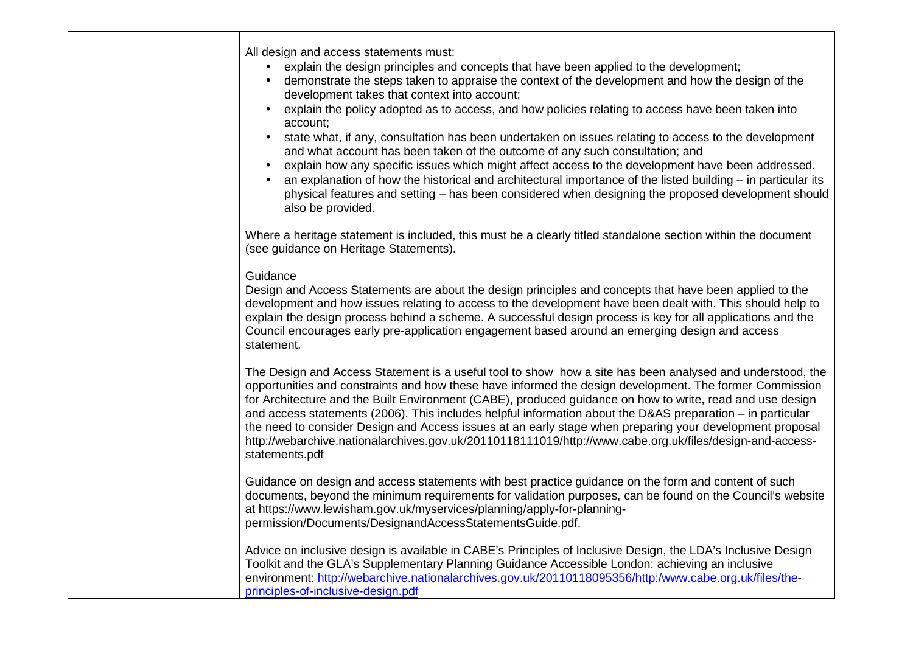All design and access statements must: • explain the design principles and concepts that have been applied to the development; • demonstrate the steps taken to appraise the context of the development and how the design of the development takes that context into account; • explain the policy adopted as to access, and how policies relating to access have been taken into account; • state what, if any, consultation has been undertaken on issues relating to access to the development and what account has been taken of the outcome of any such consultation; and • explain how any specific issues which might affect access to the development have been addressed. • an explanation of how the historical and architectural importance of the listed building – in particular its physical features and setting – has been considered when designing the proposed development should also be provided. Where a heritage statement is included, this must be a clearly titled standalone section within the document (see guidance on Heritage Statements). **Guidance**  Design and Access Statements are about the design principles and concepts that have been applied to the development and how issues relating to access to the development have been dealt with. This should help to explain the design process behind a scheme. A successful design process is key for all applications and the Council encourages early pre-application engagement based around an emerging design and access statement. The Design and Access Statement is a useful tool to show how a site has been analysed and understood, the opportunities and constraints and how these have informed the design development. The former Commission for Architecture and the Built Environment (CABE), produced guidance on how to write, read and use design and access statements (2006). This includes helpful information about the D&AS preparation – in particular the need to consider Design and Access issues at an early stage when preparing your development proposal http://webarchive.nationalarchives.gov.uk/20110118111019/http://www.cabe.org.uk/files/design-and-accessstatements.pdf Guidance on design and access statements with best practice guidance on the form and content of such documents, beyond the minimum requirements for validation purposes, can be found on the Council's website at https://www.lewisham.gov.uk/myservices/planning/apply-for-planningpermission/Documents/DesignandAccessStatementsGuide.pdf. Advice on inclusive design is available in CABE's Principles of Inclusive Design, the LDA's Inclusive Design Toolkit and the GLA's Supplementary Planning Guidance Accessible London: achieving an inclusive environment: http://webarchive.nationalarchives.gov.uk/20110118095356/http:/www.cabe.org.uk/files/theprinciples-of-inclusive-design.pdf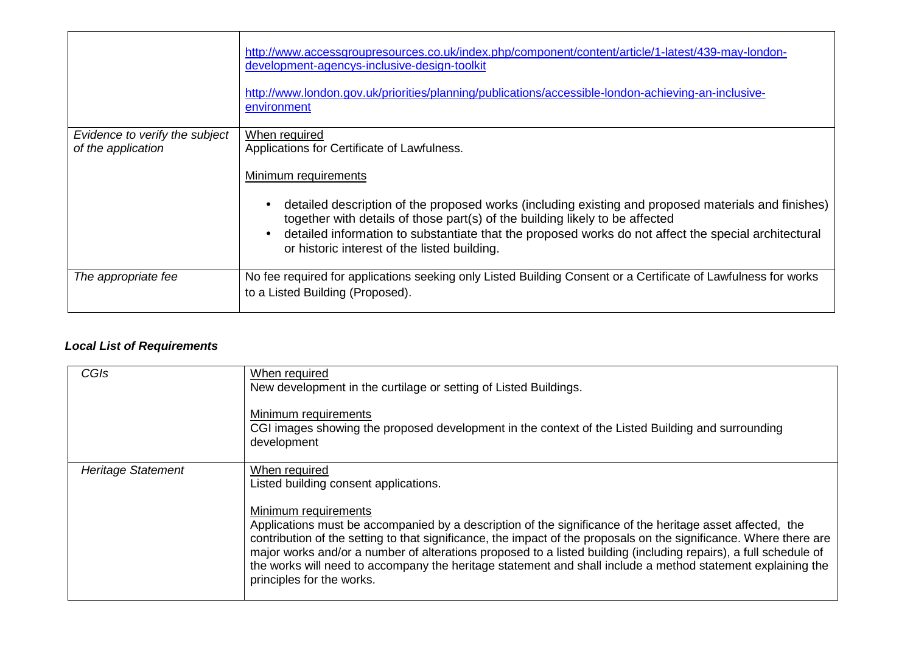|                                | http://www.accessgroupresources.co.uk/index.php/component/content/article/1-latest/439-may-london-<br>development-agencys-inclusive-design-toolkit<br>http://www.london.gov.uk/priorities/planning/publications/accessible-london-achieving-an-inclusive-<br>environment |
|--------------------------------|--------------------------------------------------------------------------------------------------------------------------------------------------------------------------------------------------------------------------------------------------------------------------|
| Evidence to verify the subject | When required                                                                                                                                                                                                                                                            |
| of the application             | Applications for Certificate of Lawfulness.                                                                                                                                                                                                                              |
|                                | Minimum requirements                                                                                                                                                                                                                                                     |
|                                | detailed description of the proposed works (including existing and proposed materials and finishes)<br>$\bullet$<br>together with details of those part(s) of the building likely to be affected                                                                         |
|                                | detailed information to substantiate that the proposed works do not affect the special architectural<br>$\bullet$<br>or historic interest of the listed building.                                                                                                        |
| The appropriate fee            | No fee required for applications seeking only Listed Building Consent or a Certificate of Lawfulness for works<br>to a Listed Building (Proposed).                                                                                                                       |

## **Local List of Requirements**

| CGIs                      | When required<br>New development in the curtilage or setting of Listed Buildings.<br>Minimum requirements<br>CGI images showing the proposed development in the context of the Listed Building and surrounding<br>development                                                                                                                                                                                                                                                                                                                                                     |
|---------------------------|-----------------------------------------------------------------------------------------------------------------------------------------------------------------------------------------------------------------------------------------------------------------------------------------------------------------------------------------------------------------------------------------------------------------------------------------------------------------------------------------------------------------------------------------------------------------------------------|
| <b>Heritage Statement</b> | When required<br>Listed building consent applications.<br>Minimum requirements<br>Applications must be accompanied by a description of the significance of the heritage asset affected, the<br>contribution of the setting to that significance, the impact of the proposals on the significance. Where there are<br>major works and/or a number of alterations proposed to a listed building (including repairs), a full schedule of<br>the works will need to accompany the heritage statement and shall include a method statement explaining the<br>principles for the works. |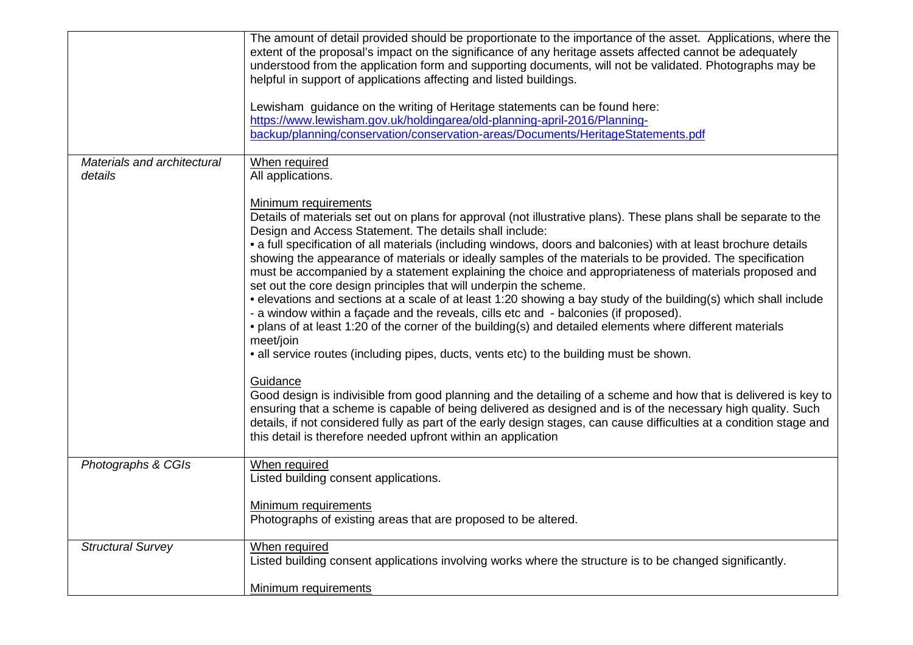|                                        | The amount of detail provided should be proportionate to the importance of the asset. Applications, where the<br>extent of the proposal's impact on the significance of any heritage assets affected cannot be adequately<br>understood from the application form and supporting documents, will not be validated. Photographs may be<br>helpful in support of applications affecting and listed buildings.<br>Lewisham guidance on the writing of Heritage statements can be found here:<br>https://www.lewisham.gov.uk/holdingarea/old-planning-april-2016/Planning-<br>backup/planning/conservation/conservation-areas/Documents/HeritageStatements.pdf                                                                                                                                                                                                                                                                                                                                                                                                                                                                                                                                                                                                                                                                                                                                                                                                          |
|----------------------------------------|---------------------------------------------------------------------------------------------------------------------------------------------------------------------------------------------------------------------------------------------------------------------------------------------------------------------------------------------------------------------------------------------------------------------------------------------------------------------------------------------------------------------------------------------------------------------------------------------------------------------------------------------------------------------------------------------------------------------------------------------------------------------------------------------------------------------------------------------------------------------------------------------------------------------------------------------------------------------------------------------------------------------------------------------------------------------------------------------------------------------------------------------------------------------------------------------------------------------------------------------------------------------------------------------------------------------------------------------------------------------------------------------------------------------------------------------------------------------|
| Materials and architectural<br>details | When required<br>All applications.<br><b>Minimum requirements</b>                                                                                                                                                                                                                                                                                                                                                                                                                                                                                                                                                                                                                                                                                                                                                                                                                                                                                                                                                                                                                                                                                                                                                                                                                                                                                                                                                                                                   |
|                                        | Details of materials set out on plans for approval (not illustrative plans). These plans shall be separate to the<br>Design and Access Statement. The details shall include:<br>• a full specification of all materials (including windows, doors and balconies) with at least brochure details<br>showing the appearance of materials or ideally samples of the materials to be provided. The specification<br>must be accompanied by a statement explaining the choice and appropriateness of materials proposed and<br>set out the core design principles that will underpin the scheme.<br>• elevations and sections at a scale of at least 1:20 showing a bay study of the building(s) which shall include<br>- a window within a façade and the reveals, cills etc and - balconies (if proposed).<br>• plans of at least 1:20 of the corner of the building(s) and detailed elements where different materials<br>meet/join<br>• all service routes (including pipes, ducts, vents etc) to the building must be shown.<br>Guidance<br>Good design is indivisible from good planning and the detailing of a scheme and how that is delivered is key to<br>ensuring that a scheme is capable of being delivered as designed and is of the necessary high quality. Such<br>details, if not considered fully as part of the early design stages, can cause difficulties at a condition stage and<br>this detail is therefore needed upfront within an application |
| Photographs & CGIs                     | When required<br>Listed building consent applications.<br>Minimum requirements<br>Photographs of existing areas that are proposed to be altered.                                                                                                                                                                                                                                                                                                                                                                                                                                                                                                                                                                                                                                                                                                                                                                                                                                                                                                                                                                                                                                                                                                                                                                                                                                                                                                                    |
| <b>Structural Survey</b>               | When required<br>Listed building consent applications involving works where the structure is to be changed significantly.<br>Minimum requirements                                                                                                                                                                                                                                                                                                                                                                                                                                                                                                                                                                                                                                                                                                                                                                                                                                                                                                                                                                                                                                                                                                                                                                                                                                                                                                                   |